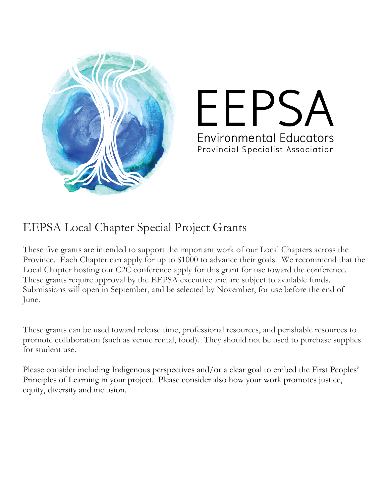

## FFPS, **Environmental Educators** Provincial Specialist Association

## EEPSA Local Chapter Special Project Grants

These five grants are intended to support the important work of our Local Chapters across the Province. Each Chapter can apply for up to \$1000 to advance their goals. We recommend that the Local Chapter hosting our C2C conference apply for this grant for use toward the conference. These grants require approval by the EEPSA executive and are subject to available funds. Submissions will open in September, and be selected by November, for use before the end of June.

These grants can be used toward release time, professional resources, and perishable resources to promote collaboration (such as venue rental, food). They should not be used to purchase supplies for student use.

Please consider including Indigenous perspectives and/or a clear goal to embed the First Peoples' Principles of Learning in your project. Please consider also how your work promotes justice, equity, diversity and inclusion.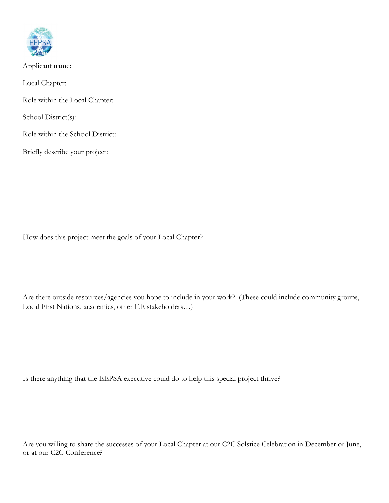

Applicant name: Local Chapter: Role within the Local Chapter: School District(s): Role within the School District: Briefly describe your project:

How does this project meet the goals of your Local Chapter?

Are there outside resources/agencies you hope to include in your work? (These could include community groups, Local First Nations, academics, other EE stakeholders…)

Is there anything that the EEPSA executive could do to help this special project thrive?

Are you willing to share the successes of your Local Chapter at our C2C Solstice Celebration in December or June, or at our C2C Conference?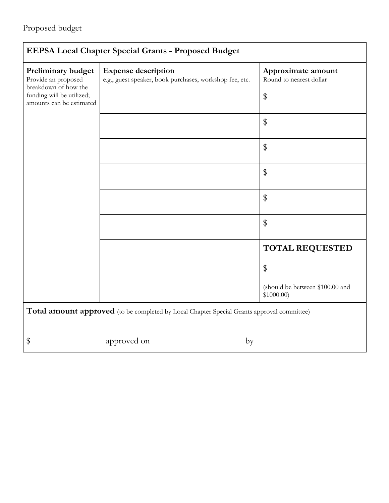| <b>EEPSA Local Chapter Special Grants - Proposed Budget</b>                                                                |                                                                                       |                                               |  |  |  |  |
|----------------------------------------------------------------------------------------------------------------------------|---------------------------------------------------------------------------------------|-----------------------------------------------|--|--|--|--|
| Preliminary budget<br>Provide an proposed<br>breakdown of how the<br>funding will be utilized;<br>amounts can be estimated | <b>Expense description</b><br>e.g., guest speaker, book purchases, workshop fee, etc. | Approximate amount<br>Round to nearest dollar |  |  |  |  |
|                                                                                                                            |                                                                                       | $\$\$                                         |  |  |  |  |
|                                                                                                                            |                                                                                       | \$                                            |  |  |  |  |
|                                                                                                                            |                                                                                       | $\$\$                                         |  |  |  |  |
|                                                                                                                            |                                                                                       | $\$\,$                                        |  |  |  |  |
|                                                                                                                            |                                                                                       | $\$\$                                         |  |  |  |  |
|                                                                                                                            |                                                                                       | $\$\$                                         |  |  |  |  |
|                                                                                                                            |                                                                                       | <b>TOTAL REQUESTED</b>                        |  |  |  |  |
|                                                                                                                            |                                                                                       | \$                                            |  |  |  |  |
|                                                                                                                            |                                                                                       | (should be between \$100.00 and<br>\$1000.00  |  |  |  |  |
| Total amount approved (to be completed by Local Chapter Special Grants approval committee)                                 |                                                                                       |                                               |  |  |  |  |
|                                                                                                                            |                                                                                       |                                               |  |  |  |  |
| \$                                                                                                                         | approved on<br>by                                                                     |                                               |  |  |  |  |